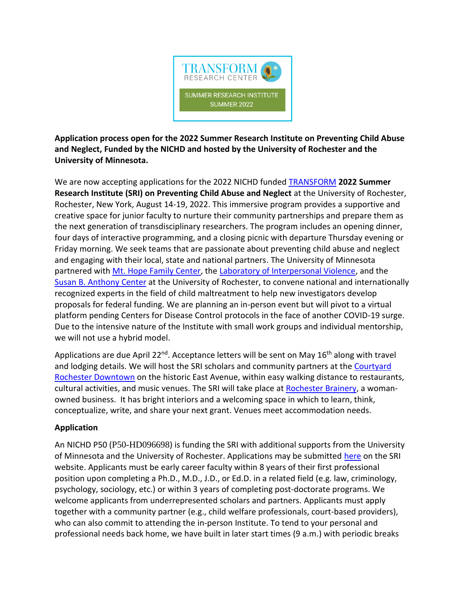

**Application process open for the 2022 Summer Research Institute on Preventing Child Abuse and Neglect, Funded by the NICHD and hosted by the University of Rochester and the University of Minnesota.**

We are now accepting applications for the 2022 NICHD funded [TRANSFORM](http://thetransformcenter.org/) **2022 Summer Research Institute (SRI) on Preventing Child Abuse and Neglect** at the University of Rochester, Rochester, New York, August 14-19, 2022. This immersive program provides a supportive and creative space for junior faculty to nurture their community partnerships and prepare them as the next generation of transdisciplinary researchers. The program includes an opening dinner, four days of interactive programming, and a closing picnic with departure Thursday evening or Friday morning. We seek teams that are passionate about preventing child abuse and neglect and engaging with their local, state and national partners. The University of Minnesota partnered with [Mt. Hope Family Center,](http://www.psych.rochester.edu/MHFC/) the [Laboratory of Interpersonal Violence,](https://www.urmc.rochester.edu/psychiatry/research/victimization.aspx) and the [Susan B. Anthony Center](https://www.rochester.edu/sba/) at the University of Rochester, to convene national and internationally recognized experts in the field of child maltreatment to help new investigators develop proposals for federal funding. We are planning an in-person event but will pivot to a virtual platform pending Centers for Disease Control protocols in the face of another COVID-19 surge. Due to the intensive nature of the Institute with small work groups and individual mentorship, we will not use a hybrid model.

Applications are due April 22<sup>nd</sup>. Acceptance letters will be sent on May 16<sup>th</sup> along with travel and lodging details. We will host the SRI scholars and community partners at the Courtyard [Rochester Downtown](https://www.marriott.com/hotels/travel/roccd-courtyard-rochester-downtown/) on the historic East Avenue, within easy walking distance to restaurants, cultural activities, and music venues. The SRI will take place at [Rochester](https://rochesterbrainery.com/) Brainery, a womanowned business. It has bright interiors and a welcoming space in which to learn, think, conceptualize, write, and share your next grant. Venues meet accommodation needs.

# **Application**

An NICHD P50 (P50-HD096698) is funding the SRI with additional supports from the University of Minnesota and the University of Rochester. Applications may be submitted [here](http://thetransformcenter.org/transform-summer-research-institute) on the SRI website. Applicants must be early career faculty within 8 years of their first professional position upon completing a Ph.D., M.D., J.D., or Ed.D. in a related field (e.g. law, criminology, psychology, sociology, etc.) or within 3 years of completing post-doctorate programs. We welcome applicants from underrepresented scholars and partners. Applicants must apply together with a community partner (e.g., child welfare professionals, court-based providers), who can also commit to attending the in-person Institute. To tend to your personal and professional needs back home, we have built in later start times (9 a.m.) with periodic breaks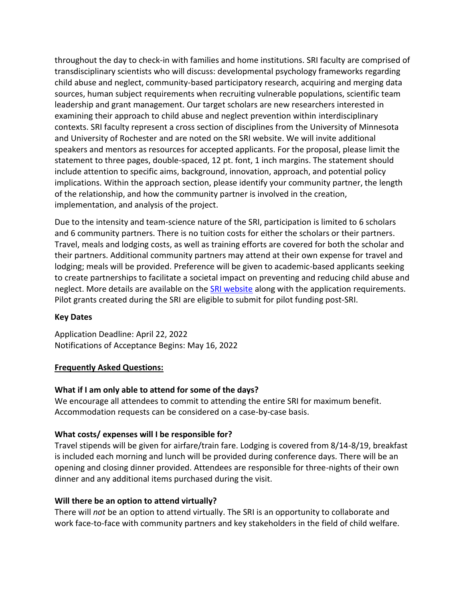throughout the day to check-in with families and home institutions. SRI faculty are comprised of transdisciplinary scientists who will discuss: developmental psychology frameworks regarding child abuse and neglect, community-based participatory research, acquiring and merging data sources, human subject requirements when recruiting vulnerable populations, scientific team leadership and grant management. Our target scholars are new researchers interested in examining their approach to child abuse and neglect prevention within interdisciplinary contexts. SRI faculty represent a cross section of disciplines from the University of Minnesota and University of Rochester and are noted on the SRI website. We will invite additional speakers and mentors as resources for accepted applicants. For the proposal, please limit the statement to three pages, double-spaced, 12 pt. font, 1 inch margins. The statement should include attention to specific aims, background, innovation, approach, and potential policy implications. Within the approach section, please identify your community partner, the length of the relationship, and how the community partner is involved in the creation, implementation, and analysis of the project.

Due to the intensity and team-science nature of the SRI, participation is limited to 6 scholars and 6 community partners. There is no tuition costs for either the scholars or their partners. Travel, meals and lodging costs, as well as training efforts are covered for both the scholar and their partners. Additional community partners may attend at their own expense for travel and lodging; meals will be provided. Preference will be given to academic-based applicants seeking to create partnerships to facilitate a societal impact on preventing and reducing child abuse and neglect. More details are available on the [SRI website](http://thetransformcenter.org/transform-summer-research-institute) along with the application requirements. Pilot grants created during the SRI are eligible to submit for pilot funding post-SRI.

# **Key Dates**

Application Deadline: April 22, 2022 Notifications of Acceptance Begins: May 16, 2022

### **Frequently Asked Questions:**

# **What if I am only able to attend for some of the days?**

We encourage all attendees to commit to attending the entire SRI for maximum benefit. Accommodation requests can be considered on a case-by-case basis.

# **What costs/ expenses will I be responsible for?**

Travel stipends will be given for airfare/train fare. Lodging is covered from 8/14-8/19, breakfast is included each morning and lunch will be provided during conference days. There will be an opening and closing dinner provided. Attendees are responsible for three-nights of their own dinner and any additional items purchased during the visit.

### **Will there be an option to attend virtually?**

There will *not* be an option to attend virtually. The SRI is an opportunity to collaborate and work face-to-face with community partners and key stakeholders in the field of child welfare.